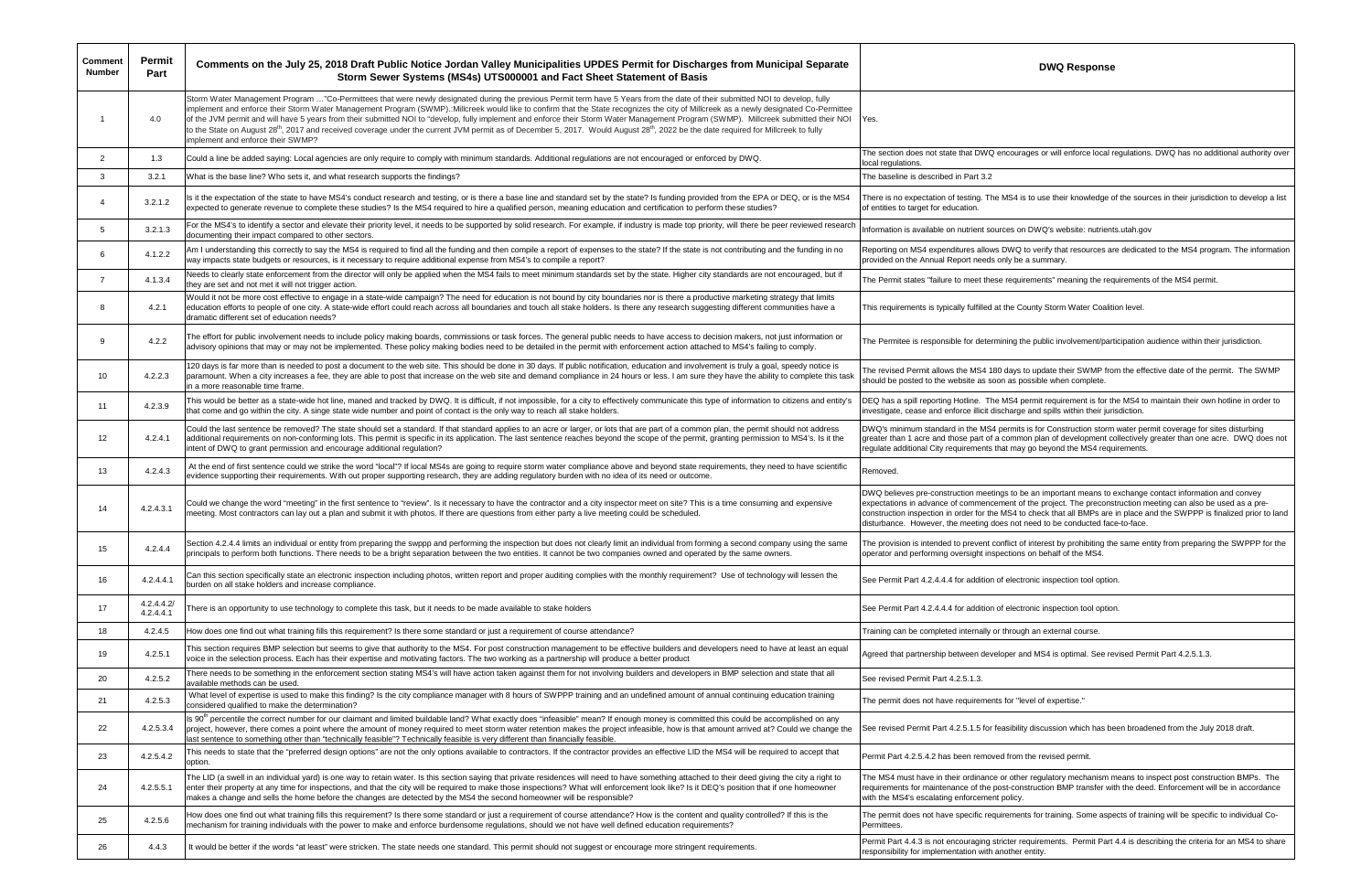| <b>Comment</b><br><b>Number</b> | Permit<br>Part          | Comments on the July 25, 2018 Draft Public Notice Jordan Valley Municipalities UPDES Permit for Discharges from Municipal Separate<br>Storm Sewer Systems (MS4s) UTS000001 and Fact Sheet Statement of Basis                                                                                                                                                                                                                                                                                                                                                                                                                                                                                                                                                                                                     | <b>DWQ Response</b>                                                                                                                                                                                                                                                                                                                  |
|---------------------------------|-------------------------|------------------------------------------------------------------------------------------------------------------------------------------------------------------------------------------------------------------------------------------------------------------------------------------------------------------------------------------------------------------------------------------------------------------------------------------------------------------------------------------------------------------------------------------------------------------------------------------------------------------------------------------------------------------------------------------------------------------------------------------------------------------------------------------------------------------|--------------------------------------------------------------------------------------------------------------------------------------------------------------------------------------------------------------------------------------------------------------------------------------------------------------------------------------|
|                                 | 4.0                     | Storm Water Management Program "Co-Permittees that were newly designated during the previous Permit term have 5 Years from the date of their submitted NOI to develop, fully<br>implement and enforce their Storm Water Management Program (SWMP).:Millcreek would like to confirm that the State recognizes the city of Millcreek as a newly designated Co-Permittee<br>of the JVM permit and will have 5 years from their submitted NOI to "develop, fully implement and enforce their Storm Water Management Program (SWMP). Millcreek submitted their NOI<br>to the State on August 28 <sup>th</sup> , 2017 and received coverage under the current JVM permit as of December 5, 2017. Would August 28 <sup>th</sup> , 2022 be the date required for Millcreek to fully<br>implement and enforce their SWMP? | Yes.                                                                                                                                                                                                                                                                                                                                 |
| $\overline{2}$                  | 1.3                     | Could a line be added saying: Local agencies are only require to comply with minimum standards. Additional regulations are not encouraged or enforced by DWQ.                                                                                                                                                                                                                                                                                                                                                                                                                                                                                                                                                                                                                                                    | The section does not state that DWQ encourages or will enforce local regulations<br>local regulations.                                                                                                                                                                                                                               |
| 3                               | 3.2.1                   | What is the base line? Who sets it, and what research supports the findings?                                                                                                                                                                                                                                                                                                                                                                                                                                                                                                                                                                                                                                                                                                                                     | The baseline is described in Part 3.2                                                                                                                                                                                                                                                                                                |
| $\overline{4}$                  | 3.2.1.2                 | Is it the expectation of the state to have MS4's conduct research and testing, or is there a base line and standard set by the state? Is funding provided from the EPA or DEQ, or is the MS4<br>expected to generate revenue to complete these studies? Is the MS4 required to hire a qualified person, meaning education and certification to perform these studies?                                                                                                                                                                                                                                                                                                                                                                                                                                            | There is no expectation of testing. The MS4 is to use their knowledge of the sourd<br>of entities to target for education.                                                                                                                                                                                                           |
| 5                               | 3.2.1.3                 | For the MS4's to identify a sector and elevate their priority level, it needs to be supported by solid research. For example, if industry is made top priority, will there be peer reviewed research<br>documenting their impact compared to other sectors.                                                                                                                                                                                                                                                                                                                                                                                                                                                                                                                                                      | Information is available on nutrient sources on DWQ's website: nutrients.utah.gov                                                                                                                                                                                                                                                    |
| 6                               | 4.1.2.2                 | Am I understanding this correctly to say the MS4 is required to find all the funding and then compile a report of expenses to the state? If the state is not contributing and the funding in no<br>way impacts state budgets or resources, is it necessary to require additional expense from MS4's to compile a report?                                                                                                                                                                                                                                                                                                                                                                                                                                                                                         | Reporting on MS4 expenditures allows DWQ to verify that resources are dedicate<br>provided on the Annual Report needs only be a summary.                                                                                                                                                                                             |
| $\overline{7}$                  | 4.1.3.4                 | Needs to clearly state enforcement from the director will only be applied when the MS4 fails to meet minimum standards set by the state. Higher city standards are not encouraged, but if<br>they are set and not met it will not trigger action.                                                                                                                                                                                                                                                                                                                                                                                                                                                                                                                                                                | The Permit states "failure to meet these requirements" meaning the requirements                                                                                                                                                                                                                                                      |
| 8                               | 4.2.1                   | Would it not be more cost effective to engage in a state-wide campaign? The need for education is not bound by city boundaries nor is there a productive marketing strategy that limits<br>education efforts to people of one city. A state-wide effort could reach across all boundaries and touch all stake holders. Is there any research suggesting different communities have a<br>dramatic different set of education needs?                                                                                                                                                                                                                                                                                                                                                                               | This requirements is typically fulfilled at the County Storm Water Coalition level.                                                                                                                                                                                                                                                  |
| 9                               | 4.2.2                   | The effort for public involvement needs to include policy making boards, commissions or task forces. The general public needs to have access to decision makers, not just information or<br>advisory opinions that may or may not be implemented. These policy making bodies need to be detailed in the permit with enforcement action attached to MS4's failing to comply.                                                                                                                                                                                                                                                                                                                                                                                                                                      | The Permitee is responsible for determining the public involvement/participation a                                                                                                                                                                                                                                                   |
| 10                              | 4.2.2.3                 | 120 days is far more than is needed to post a document to the web site. This should be done in 30 days. If public notification, education and involvement is truly a goal, speedy notice is<br>paramount. When a city increases a fee, they are able to post that increase on the web site and demand compliance in 24 hours or less. I am sure they have the ability to complete this task<br>in a more reasonable time frame.                                                                                                                                                                                                                                                                                                                                                                                  | The revised Permit allows the MS4 180 days to update their SWMP from the effee<br>should be posted to the website as soon as possible when complete.                                                                                                                                                                                 |
| 11                              | 4.2.3.9                 | This would be better as a state-wide hot line, maned and tracked by DWQ. It is difficult, if not impossible, for a city to effectively communicate this type of information to citizens and entity's<br>that come and go within the city. A singe state wide number and point of contact is the only way to reach all stake holders.                                                                                                                                                                                                                                                                                                                                                                                                                                                                             | DEQ has a spill reporting Hotline. The MS4 permit requirement is for the MS4 to<br>investigate, cease and enforce illicit discharge and spills within their jurisdiction.                                                                                                                                                            |
| 12 <sup>°</sup>                 | 4.2.4.1                 | Could the last sentence be removed? The state should set a standard. If that standard applies to an acre or larger, or lots that are part of a common plan, the permit should not address<br>additional requirements on non-conforming lots. This permit is specific in its application. The last sentence reaches beyond the scope of the permit, granting permission to MS4's. Is it the<br>intent of DWQ to grant permission and encourage additional regulation?                                                                                                                                                                                                                                                                                                                                             | DWQ's minimum standard in the MS4 permits is for Construction storm water per<br>greater than 1 acre and those part of a common plan of development collectively<br>regulate additional City requirements that may go beyond the MS4 requirements.                                                                                   |
| 13                              | 4.2.4.3                 | At the end of first sentence could we strike the word "local"? If local MS4s are going to require storm water compliance above and beyond state requirements, they need to have scientific<br>evidence supporting their requirements. With out proper supporting research, they are adding regulatory burden with no idea of its need or outcome.                                                                                                                                                                                                                                                                                                                                                                                                                                                                | Removed.                                                                                                                                                                                                                                                                                                                             |
| 14                              | 4.2.4.3.1               | Could we change the word "meeting" in the first sentence to "review". Is it necessary to have the contractor and a city inspector meet on site? This is a time consuming and expensive<br>meeting. Most contractors can lay out a plan and submit it with photos. If there are questions from either party a live meeting could be scheduled.                                                                                                                                                                                                                                                                                                                                                                                                                                                                    | DWQ believes pre-construction meetings to be an important means to exchange<br>expectations in advance of commencement of the project. The preconstruction me<br>construction inspection in order for the MS4 to check that all BMPs are in place a<br>disturbance. However, the meeting does not need to be conducted face-to-face. |
| 15                              | 4.2.4.4                 | Section 4.2.4.4 limits an individual or entity from preparing the swppp and performing the inspection but does not clearly limit an individual from forming a second company using the same<br>principals to perform both functions. There needs to be a bright separation between the two entities. It cannot be two companies owned and operated by the same owners.                                                                                                                                                                                                                                                                                                                                                                                                                                           | The provision is intended to prevent conflict of interest by prohibiting the same en<br>operator and performing oversight inspections on behalf of the MS4.                                                                                                                                                                          |
| 16                              | 4.2.4.4.1               | Can this section specifically state an electronic inspection including photos, written report and proper auditing complies with the monthly requirement? Use of technology will lessen the<br>burden on all stake holders and increase compliance.                                                                                                                                                                                                                                                                                                                                                                                                                                                                                                                                                               | See Permit Part 4.2.4.4.4 for addition of electronic inspection tool option.                                                                                                                                                                                                                                                         |
| 17                              | 4.2.4.4.2/<br>4.2.4.4.1 | There is an opportunity to use technology to complete this task, but it needs to be made available to stake holders                                                                                                                                                                                                                                                                                                                                                                                                                                                                                                                                                                                                                                                                                              | See Permit Part 4.2.4.4.4 for addition of electronic inspection tool option.                                                                                                                                                                                                                                                         |
| 18                              | 4.2.4.5                 | How does one find out what training fills this requirement? Is there some standard or just a requirement of course attendance?                                                                                                                                                                                                                                                                                                                                                                                                                                                                                                                                                                                                                                                                                   | Training can be completed internally or through an external course.                                                                                                                                                                                                                                                                  |
| 19                              | 4.2.5.1                 | This section requires BMP selection but seems to give that authority to the MS4. For post construction management to be effective builders and developers need to have at least an equal<br>voice in the selection process. Each has their expertise and motivating factors. The two working as a partnership will produce a better product                                                                                                                                                                                                                                                                                                                                                                                                                                                                      | Agreed that partnership between developer and MS4 is optimal. See revised Perr                                                                                                                                                                                                                                                       |
| 20                              | 4.2.5.2                 | There needs to be something in the enforcement section stating MS4's will have action taken against them for not involving builders and developers in BMP selection and state that all<br>available methods can be used.                                                                                                                                                                                                                                                                                                                                                                                                                                                                                                                                                                                         | See revised Permit Part 4.2.5.1.3.                                                                                                                                                                                                                                                                                                   |
| 21                              | 4.2.5.3                 | What level of expertise is used to make this finding? Is the city compliance manager with 8 hours of SWPPP training and an undefined amount of annual continuing education training<br>considered qualified to make the determination?                                                                                                                                                                                                                                                                                                                                                                                                                                                                                                                                                                           | The permit does not have requirements for "level of expertise."                                                                                                                                                                                                                                                                      |
| 22                              | 4.2.5.3.4               | Is 90 <sup>th</sup> percentile the correct number for our claimant and limited buildable land? What exactly does "infeasible" mean? If enough money is committed this could be accomplished on any<br>project, however, there comes a point where the amount of money required to meet storm water retention makes the project infeasible, how is that amount arrived at? Could we change the<br>last sentence to something other than "technically feasible"? Technically feasible is very different than financially feasible.                                                                                                                                                                                                                                                                                 | See revised Permit Part 4.2.5.1.5 for feasibility discussion which has been broade                                                                                                                                                                                                                                                   |
| 23                              | 4.2.5.4.2               | This needs to state that the "preferred design options" are not the only options available to contractors. If the contractor provides an effective LID the MS4 will be required to accept that<br>option.                                                                                                                                                                                                                                                                                                                                                                                                                                                                                                                                                                                                        | Permit Part 4.2.5.4.2 has been removed from the revised permit.                                                                                                                                                                                                                                                                      |
| 24                              | 4.2.5.5.1               | The LID (a swell in an individual yard) is one way to retain water. Is this section saying that private residences will need to have something attached to their deed giving the city a right to<br>enter their property at any time for inspections, and that the city will be required to make those inspections? What will enforcement look like? Is it DEQ's position that if one homeowner<br>makes a change and sells the home before the changes are detected by the MS4 the second homeowner will be responsible?                                                                                                                                                                                                                                                                                        | The MS4 must have in their ordinance or other regulatory mechanism means to in<br>requirements for maintenance of the post-construction BMP transfer with the deed<br>with the MS4's escalating enforcement policy.                                                                                                                  |
| 25                              | 4.2.5.6                 | How does one find out what training fills this requirement? Is there some standard or just a requirement of course attendance? How is the content and quality controlled? If this is the<br>mechanism for training individuals with the power to make and enforce burdensome regulations, should we not have well defined education requirements?                                                                                                                                                                                                                                                                                                                                                                                                                                                                | The permit does not have specific requirements for training. Some aspects of train<br>Permittees.                                                                                                                                                                                                                                    |
| 26                              | 4.4.3                   | It would be better if the words "at least" were stricken. The state needs one standard. This permit should not suggest or encourage more stringent requirements.                                                                                                                                                                                                                                                                                                                                                                                                                                                                                                                                                                                                                                                 | Permit Part 4.4.3 is not encouraging stricter requirements. Permit Part 4.4 is dese<br>responsibility for implementation with another entity.                                                                                                                                                                                        |

courages or will enforce local regulations. DWQ has no additional authority over

S4 is to use their knowledge of the sources in their jurisdiction to develop a list

WQ to verify that resources are dedicated to the MS4 program. The information y be a summary.

equirements" meaning the requirements of the MS4 permit.

ng the public involvement/participation audience within their jurisdiction.

lays to update their SWMP from the effective date of the permit. The SWMP as possible when complete.

S4 permit requirement is for the MS4 to maintain their own hotline in order to iarge and spills within their jurisdiction.

rmits is for Construction storm water permit coverage for sites disturbing ommon plan of development collectively greater than one acre. DWQ does not may go beyond the MS4 requirements.

to be an important means to exchange contact information and convey expectations in advance of commencement of the project. The preconstruction meeting can also be used as a preconstruction inspection in order for the MS4 to check that all BMPs are in place and the SWPPP is finalized prior to land not need to be conducted face-to-face.

> lict of interest by prohibiting the same entity from preparing the SWPPP for the tions on behalf of the MS4.

er and MS4 is optimal. See revised Permit Part 4.2.5.1.3.

sibility discussion which has been broadened from the July 2018 draft.

other regulatory mechanism means to inspect post construction BMPs. The -construction BMP transfer with the deed. Enforcement will be in accordance blicy.

ements for training. Some aspects of training will be specific to individual Co-

ter requirements. Permit Part 4.4 is describing the criteria for an MS4 to share ther entity.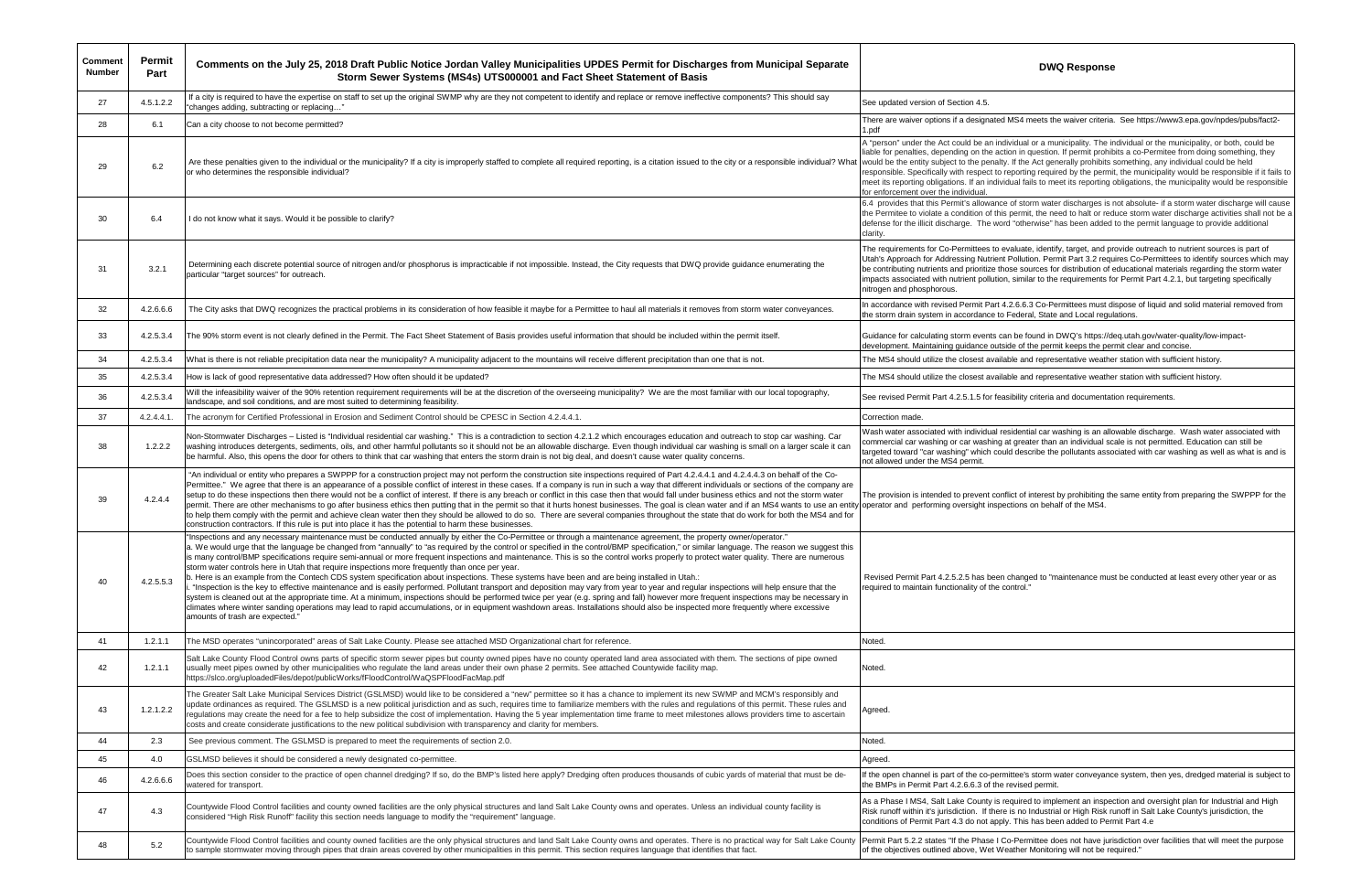| <b>Comment</b><br><b>Number</b> | Permit<br>Part | Comments on the July 25, 2018 Draft Public Notice Jordan Valley Municipalities UPDES Permit for Discharges from Municipal Separate<br>Storm Sewer Systems (MS4s) UTS000001 and Fact Sheet Statement of Basis                                                                                                                                                                                                                                                                                                                                                                                                                                                                                                                                                                                                                                                                                                                                                                                                                                                                                                                                                                                                                                                                                                                                                                                                                  | <b>DWQ Response</b>                                                                                                                                                                                                                                                                                                                                                                                                                                                                                                                   |
|---------------------------------|----------------|-------------------------------------------------------------------------------------------------------------------------------------------------------------------------------------------------------------------------------------------------------------------------------------------------------------------------------------------------------------------------------------------------------------------------------------------------------------------------------------------------------------------------------------------------------------------------------------------------------------------------------------------------------------------------------------------------------------------------------------------------------------------------------------------------------------------------------------------------------------------------------------------------------------------------------------------------------------------------------------------------------------------------------------------------------------------------------------------------------------------------------------------------------------------------------------------------------------------------------------------------------------------------------------------------------------------------------------------------------------------------------------------------------------------------------|---------------------------------------------------------------------------------------------------------------------------------------------------------------------------------------------------------------------------------------------------------------------------------------------------------------------------------------------------------------------------------------------------------------------------------------------------------------------------------------------------------------------------------------|
| 27                              | 4.5.1.2.2      | If a city is required to have the expertise on staff to set up the original SWMP why are they not competent to identify and replace or remove ineffective components? This should say<br>'changes adding, subtracting or replacing"                                                                                                                                                                                                                                                                                                                                                                                                                                                                                                                                                                                                                                                                                                                                                                                                                                                                                                                                                                                                                                                                                                                                                                                           | See updated version of Section 4.5.                                                                                                                                                                                                                                                                                                                                                                                                                                                                                                   |
| 28                              | 6.1            | Can a city choose to not become permitted?                                                                                                                                                                                                                                                                                                                                                                                                                                                                                                                                                                                                                                                                                                                                                                                                                                                                                                                                                                                                                                                                                                                                                                                                                                                                                                                                                                                    | There are waiver options if a designated MS4 meets the waiver criteria. See https://www<br>1.pdf                                                                                                                                                                                                                                                                                                                                                                                                                                      |
| 29                              | 6.2            | Are these penalties given to the individual or the municipality? If a city is improperly staffed to complete all required reporting, is a citation issued to the city or a responsible individual? What<br>or who determines the responsible individual?                                                                                                                                                                                                                                                                                                                                                                                                                                                                                                                                                                                                                                                                                                                                                                                                                                                                                                                                                                                                                                                                                                                                                                      | A "person" under the Act could be an individual or a municipality. The individual or the m<br>liable for penalties, depending on the action in question. If permit prohibits a co-Permitee<br>would be the entity subject to the penalty. If the Act generally prohibits something, any in<br>responsible. Specifically with respect to reporting required by the permit, the municipality<br>meet its reporting obligations. If an individual fails to meet its reporting obligations, the m<br>for enforcement over the individual. |
| 30                              | 6.4            | I do not know what it says. Would it be possible to clarify?                                                                                                                                                                                                                                                                                                                                                                                                                                                                                                                                                                                                                                                                                                                                                                                                                                                                                                                                                                                                                                                                                                                                                                                                                                                                                                                                                                  | 6.4 provides that this Permit's allowance of storm water discharges is not absolute- if a<br>the Permitee to violate a condition of this permit, the need to halt or reduce storm water<br>defense for the illicit discharge. The word "otherwise" has been added to the permit langer<br>clarity.                                                                                                                                                                                                                                    |
| 31                              | 3.2.1          | Determining each discrete potential source of nitrogen and/or phosphorus is impracticable if not impossible. Instead, the City requests that DWQ provide guidance enumerating the<br>particular "target sources" for outreach.                                                                                                                                                                                                                                                                                                                                                                                                                                                                                                                                                                                                                                                                                                                                                                                                                                                                                                                                                                                                                                                                                                                                                                                                | The requirements for Co-Permittees to evaluate, identify, target, and provide outreach to<br>Utah's Approach for Addressing Nutrient Pollution. Permit Part 3.2 requires Co-Permitte<br>be contributing nutrients and prioritize those sources for distribution of educational mater<br>impacts associated with nutrient pollution, similar to the requirements for Permit Part 4.2<br>nitrogen and phosphorous.                                                                                                                      |
| 32                              | 4.2.6.6.6      | The City asks that DWQ recognizes the practical problems in its consideration of how feasible it maybe for a Permittee to haul all materials it removes from storm water conveyances.                                                                                                                                                                                                                                                                                                                                                                                                                                                                                                                                                                                                                                                                                                                                                                                                                                                                                                                                                                                                                                                                                                                                                                                                                                         | In accordance with revised Permit Part 4.2.6.6.3 Co-Permittees must dispose of liquid ar<br>the storm drain system in accordance to Federal, State and Local regulations.                                                                                                                                                                                                                                                                                                                                                             |
| 33                              | 4.2.5.3.4      | The 90% storm event is not clearly defined in the Permit. The Fact Sheet Statement of Basis provides useful information that should be included within the permit itself.                                                                                                                                                                                                                                                                                                                                                                                                                                                                                                                                                                                                                                                                                                                                                                                                                                                                                                                                                                                                                                                                                                                                                                                                                                                     | Guidance for calculating storm events can be found in DWQ's https://deq.utah.gov/wate<br>development. Maintaining guidance outside of the permit keeps the permit clear and con                                                                                                                                                                                                                                                                                                                                                       |
| 34                              | 4.2.5.3.4      | What is there is not reliable precipitation data near the municipality? A municipality adjacent to the mountains will receive different precipitation than one that is not.                                                                                                                                                                                                                                                                                                                                                                                                                                                                                                                                                                                                                                                                                                                                                                                                                                                                                                                                                                                                                                                                                                                                                                                                                                                   | The MS4 should utilize the closest available and representative weather station with suff                                                                                                                                                                                                                                                                                                                                                                                                                                             |
| 35                              | 4.2.5.3.4      | How is lack of good representative data addressed? How often should it be updated?                                                                                                                                                                                                                                                                                                                                                                                                                                                                                                                                                                                                                                                                                                                                                                                                                                                                                                                                                                                                                                                                                                                                                                                                                                                                                                                                            | The MS4 should utilize the closest available and representative weather station with suff                                                                                                                                                                                                                                                                                                                                                                                                                                             |
| 36                              | 4.2.5.3.4      | Will the infeasibility waiver of the 90% retention requirement requirements will be at the discretion of the overseeing municipality? We are the most familiar with our local topography,<br>landscape, and soil conditions, and are most suited to determining feasibility.                                                                                                                                                                                                                                                                                                                                                                                                                                                                                                                                                                                                                                                                                                                                                                                                                                                                                                                                                                                                                                                                                                                                                  | See revised Permit Part 4.2.5.1.5 for feasibility criteria and documentation requirements.                                                                                                                                                                                                                                                                                                                                                                                                                                            |
| 37                              | $4.2.4.4.1$ .  | The acronym for Certified Professional in Erosion and Sediment Control should be CPESC in Section 4.2.4.4.1.                                                                                                                                                                                                                                                                                                                                                                                                                                                                                                                                                                                                                                                                                                                                                                                                                                                                                                                                                                                                                                                                                                                                                                                                                                                                                                                  | Correction made.                                                                                                                                                                                                                                                                                                                                                                                                                                                                                                                      |
| 38                              | 1.2.2.2        | Non-Stormwater Discharges - Listed is "Individual residential car washing." This is a contradiction to section 4.2.1.2 which encourages education and outreach to stop car washing. Car<br>washing introduces detergents, sediments, oils, and other harmful pollutants so it should not be an allowable discharge. Even though individual car washing is small on a larger scale it can<br>be harmful. Also, this opens the door for others to think that car washing that enters the storm drain is not big deal, and doesn't cause water quality concerns.                                                                                                                                                                                                                                                                                                                                                                                                                                                                                                                                                                                                                                                                                                                                                                                                                                                                 | Wash water associated with individual residential car washing is an allowable discharge<br>commercial car washing or car washing at greater than an individual scale is not permitte<br>targeted toward "car washing" which could describe the pollutants associated with car w<br>not allowed under the MS4 permit.                                                                                                                                                                                                                  |
| 39                              | 4.2.4.4        | "An individual or entity who prepares a SWPPP for a construction project may not perform the construction site inspections required of Part 4.2.4.4.1 and 4.2.4.4.3 on behalf of the Co-<br>Permittee." We agree that there is an appearance of a possible conflict of interest in these cases. If a company is run in such a way that different individuals or sections of the company are<br>setup to do these inspections then there would not be a conflict of interest. If there is any breach or conflict in this case then that would fall under business ethics and not the storm water<br>permit. There are other mechanisms to go after business ethics then putting that in the permit so that it hurts honest businesses. The goal is clean water and if an MS4 wants to use an entity operator and performing oversi<br>to help them comply with the permit and achieve clean water then they should be allowed to do so. There are several companies throughout the state that do work for both the MS4 and for<br>construction contractors. If this rule is put into place it has the potential to harm these businesses.                                                                                                                                                                                                                                                                                      | The provision is intended to prevent conflict of interest by prohibiting the same entity from                                                                                                                                                                                                                                                                                                                                                                                                                                         |
| 40                              | 4.2.5.5.3      | Inspections and any necessary maintenance must be conducted annually by either the Co-Permittee or through a maintenance agreement, the property owner/operator."<br>a. We would urge that the language be changed from "annually" to "as required by the control or specified in the control/BMP specification," or similar language. The reason we suggest this<br>is many control/BMP specifications require semi-annual or more frequent inspections and maintenance. This is so the control works properly to protect water quality. There are numerous<br>storm water controls here in Utah that require inspections more frequently than once per year.<br>b. Here is an example from the Contech CDS system specification about inspections. These systems have been and are being installed in Utah.:<br>"Inspection is the key to effective maintenance and is easily performed. Pollutant transport and deposition may vary from year to year and regular inspections will help ensure that the<br>system is cleaned out at the appropriate time. At a minimum, inspections should be performed twice per year (e.g. spring and fall) however more frequent inspections may be necessary in<br>climates where winter sanding operations may lead to rapid accumulations, or in equipment washdown areas. Installations should also be inspected more frequently where excessive<br>amounts of trash are expected." | Revised Permit Part 4.2.5.2.5 has been changed to "maintenance must be conducted a<br>required to maintain functionality of the control."                                                                                                                                                                                                                                                                                                                                                                                             |
| 41                              | 1.2.1.1        | The MSD operates "unincorporated" areas of Salt Lake County. Please see attached MSD Organizational chart for reference.                                                                                                                                                                                                                                                                                                                                                                                                                                                                                                                                                                                                                                                                                                                                                                                                                                                                                                                                                                                                                                                                                                                                                                                                                                                                                                      | Noted.                                                                                                                                                                                                                                                                                                                                                                                                                                                                                                                                |
| 42                              | 1.2.1.1        | Salt Lake County Flood Control owns parts of specific storm sewer pipes but county owned pipes have no county operated land area associated with them. The sections of pipe owned<br>usually meet pipes owned by other municipalities who regulate the land areas under their own phase 2 permits. See attached Countywide facility map.<br>https://slco.org/uploadedFiles/depot/publicWorks/fFloodControl/WaQSPFloodFacMap.pdf                                                                                                                                                                                                                                                                                                                                                                                                                                                                                                                                                                                                                                                                                                                                                                                                                                                                                                                                                                                               | Noted.                                                                                                                                                                                                                                                                                                                                                                                                                                                                                                                                |
| 43                              | 1.2.1.2.2      | The Greater Salt Lake Municipal Services District (GSLMSD) would like to be considered a "new" permittee so it has a chance to implement its new SWMP and MCM's responsibly and<br>update ordinances as required. The GSLMSD is a new political jurisdiction and as such, requires time to familiarize members with the rules and regulations of this permit. These rules and<br>regulations may create the need for a fee to help subsidize the cost of implementation. Having the 5 year implementation time frame to meet milestones allows providers time to ascertain<br>costs and create considerate justifications to the new political subdivision with transparency and clarity for members.                                                                                                                                                                                                                                                                                                                                                                                                                                                                                                                                                                                                                                                                                                                         | Agreed.                                                                                                                                                                                                                                                                                                                                                                                                                                                                                                                               |
| 44                              | 2.3            | See previous comment. The GSLMSD is prepared to meet the requirements of section 2.0.                                                                                                                                                                                                                                                                                                                                                                                                                                                                                                                                                                                                                                                                                                                                                                                                                                                                                                                                                                                                                                                                                                                                                                                                                                                                                                                                         | Noted.                                                                                                                                                                                                                                                                                                                                                                                                                                                                                                                                |
| 45                              | 4.0            | GSLMSD believes it should be considered a newly designated co-permittee.                                                                                                                                                                                                                                                                                                                                                                                                                                                                                                                                                                                                                                                                                                                                                                                                                                                                                                                                                                                                                                                                                                                                                                                                                                                                                                                                                      | Agreed.                                                                                                                                                                                                                                                                                                                                                                                                                                                                                                                               |
| 46                              | 4.2.6.6.6      | Does this section consider to the practice of open channel dredging? If so, do the BMP's listed here apply? Dredging often produces thousands of cubic yards of material that must be de-<br>watered for transport.                                                                                                                                                                                                                                                                                                                                                                                                                                                                                                                                                                                                                                                                                                                                                                                                                                                                                                                                                                                                                                                                                                                                                                                                           | If the open channel is part of the co-permittee's storm water conveyance system, then ye<br>the BMPs in Permit Part 4.2.6.6.3 of the revised permit.                                                                                                                                                                                                                                                                                                                                                                                  |
| 47                              | 4.3            | Countywide Flood Control facilities and county owned facilities are the only physical structures and land Salt Lake County owns and operates. Unless an individual county facility is<br>considered "High Risk Runoff" facility this section needs language to modify the "requirement" language.                                                                                                                                                                                                                                                                                                                                                                                                                                                                                                                                                                                                                                                                                                                                                                                                                                                                                                                                                                                                                                                                                                                             | As a Phase I MS4, Salt Lake County is required to implement an inspection and oversig<br>Risk runoff within it's jurisdiction. If there is no Industrial or High Risk runoff in Salt Lake<br>conditions of Permit Part 4.3 do not apply. This has been added to Permit Part 4.e.                                                                                                                                                                                                                                                      |
| 48                              | 5.2            | Countywide Flood Control facilities and county owned facilities are the only physical structures and land Salt Lake County owns and operates. There is no practical way for Salt Lake County<br>to sample stormwater moving through pipes that drain areas covered by other municipalities in this permit. This section requires language that identifies that fact.                                                                                                                                                                                                                                                                                                                                                                                                                                                                                                                                                                                                                                                                                                                                                                                                                                                                                                                                                                                                                                                          | Permit Part 5.2.2 states "If the Phase I Co-Permittee does not have jurisdiction over faci<br>of the objectives outlined above, Wet Weather Monitoring will not be required."                                                                                                                                                                                                                                                                                                                                                         |

MS4 meets the waiver criteria. See https://www3.epa.gov/npdes/pubs/fact2-

vidual or a municipality. The individual or the municipality, or both, could be on in question. If permit prohibits a co-Permitee from doing something, they If the Act generally prohibits something, any individual could be held porting required by the permit, the municipality would be responsible if it fails to lual fails to meet its reporting obligations, the municipality would be responsible

of storm water discharges is not absolute- if a storm water discharge will cause permit, the need to halt or reduce storm water discharge activities shall not be a defort the indischarge. The indischarge is discharge to provide additional

raluate, identify, target, and provide outreach to nutrient sources is part of Pollution. Permit Part 3.2 requires Co-Permittees to identify sources which may se sources for distribution of educational materials regarding the storm water , similar to the requirements for Permit Part 4.2.1, but targeting specifically

2.6.6.3 Co-Permittees must dispose of liquid and solid material removed from Federal, State and Local regulations.

be found in DWQ's https://deq.utah.gov/water-quality/low-impactde of the permit keeps the permit clear and concise.

ble and representative weather station with sufficient history.

ble and representative weather station with sufficient history.

sidential car washing is an allowable discharge. Wash water associated with t greater than an individual scale is not permitted. Education can still be describe the pollutants associated with car washing as well as what is and is

lict of interest by prohibiting the same entity from preparing the SWPPP for the ctions on behalf of the MS4.

changed to "maintenance must be conducted at least every other year or as

ittee's storm water conveyance system, then yes, dredged material is subject to evised permit.

quired to implement an inspection and oversight plan for Industrial and High Pance is the interest of High Risk runoff in Salt Lake County's jurisdiction, the . This has been added to Permit Part 4.e

-Permittee does not have jurisdiction over facilities that will meet the purpose ather Monitoring will not be required."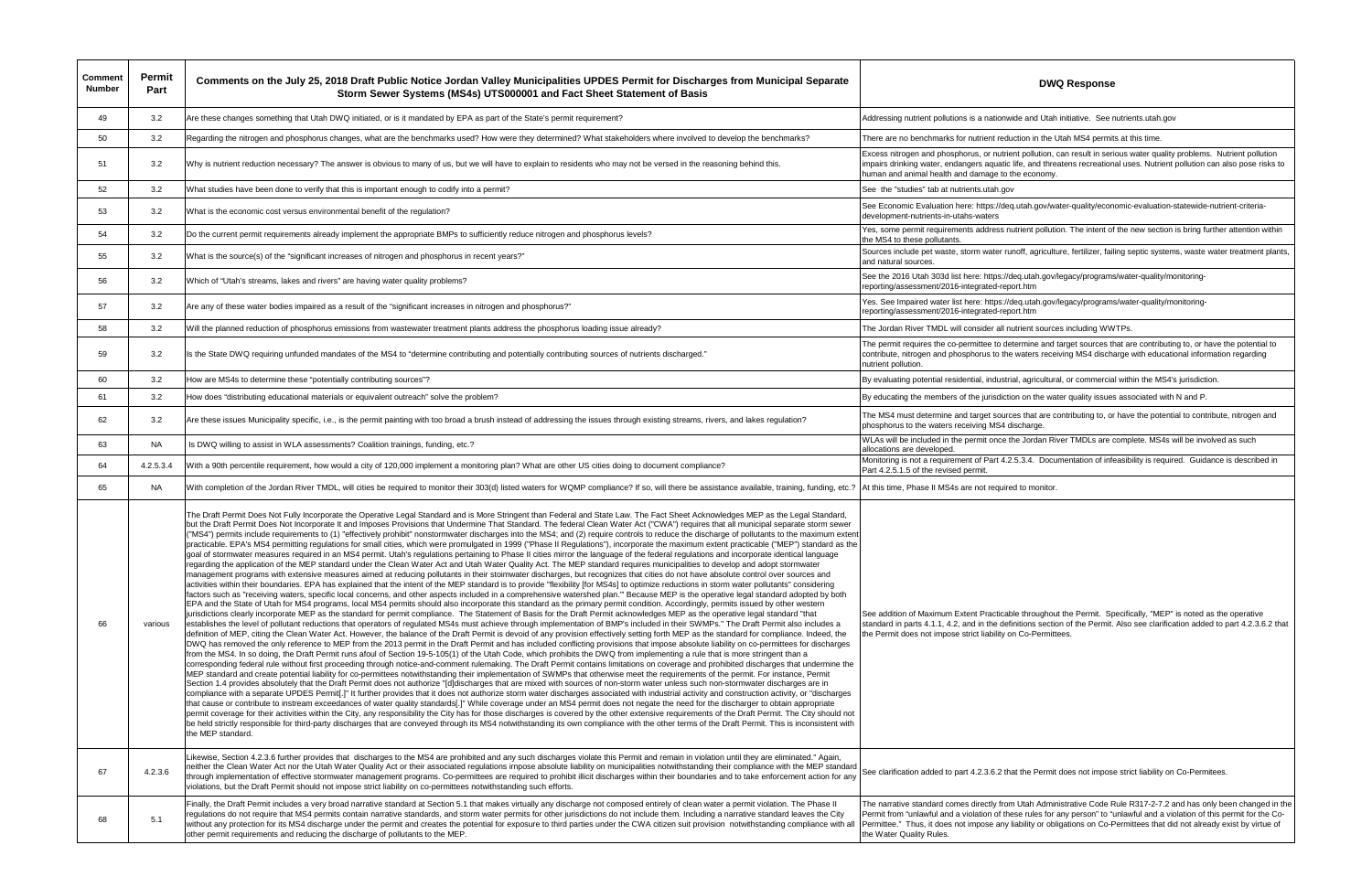| Comment<br><b>Number</b> | Permit<br>Part | Comments on the July 25, 2018 Draft Public Notice Jordan Valley Municipalities UPDES Permit for Discharges from Municipal Separate<br>Storm Sewer Systems (MS4s) UTS000001 and Fact Sheet Statement of Basis                                                                                                                                                                                                                                                                                                                                                                                                                                                                                                                                                                                                                                                                                                                                                                                                                                                                                                                                                                                                                                                                                                                                                                                                                                                                                                                                                                                                                                                                                                                                                                                                                                                                                                                                                                                                                                                                                                                                                                                                                                                                                                                                                                                                                                                                                                                                                                                                                                                                                                                                                                                                                                                                                                                                                                                                                                                                                                                                                                                                                                                                                                                                                                                                                                                                                                                                                                                                                                                                                                                                                                                                                                                                                                                                                                                                                                                                                                                                                                                                                                                                                    | <b>DWQ Response</b>                                                                                                                                                                                                                                              |
|--------------------------|----------------|-------------------------------------------------------------------------------------------------------------------------------------------------------------------------------------------------------------------------------------------------------------------------------------------------------------------------------------------------------------------------------------------------------------------------------------------------------------------------------------------------------------------------------------------------------------------------------------------------------------------------------------------------------------------------------------------------------------------------------------------------------------------------------------------------------------------------------------------------------------------------------------------------------------------------------------------------------------------------------------------------------------------------------------------------------------------------------------------------------------------------------------------------------------------------------------------------------------------------------------------------------------------------------------------------------------------------------------------------------------------------------------------------------------------------------------------------------------------------------------------------------------------------------------------------------------------------------------------------------------------------------------------------------------------------------------------------------------------------------------------------------------------------------------------------------------------------------------------------------------------------------------------------------------------------------------------------------------------------------------------------------------------------------------------------------------------------------------------------------------------------------------------------------------------------------------------------------------------------------------------------------------------------------------------------------------------------------------------------------------------------------------------------------------------------------------------------------------------------------------------------------------------------------------------------------------------------------------------------------------------------------------------------------------------------------------------------------------------------------------------------------------------------------------------------------------------------------------------------------------------------------------------------------------------------------------------------------------------------------------------------------------------------------------------------------------------------------------------------------------------------------------------------------------------------------------------------------------------------------------------------------------------------------------------------------------------------------------------------------------------------------------------------------------------------------------------------------------------------------------------------------------------------------------------------------------------------------------------------------------------------------------------------------------------------------------------------------------------------------------------------------------------------------------------------------------------------------------------------------------------------------------------------------------------------------------------------------------------------------------------------------------------------------------------------------------------------------------------------------------------------------------------------------------------------------------------------------------------------------------------------------------------------------------------------|------------------------------------------------------------------------------------------------------------------------------------------------------------------------------------------------------------------------------------------------------------------|
| 49                       | 3.2            | Are these changes something that Utah DWQ initiated, or is it mandated by EPA as part of the State's permit requirement?                                                                                                                                                                                                                                                                                                                                                                                                                                                                                                                                                                                                                                                                                                                                                                                                                                                                                                                                                                                                                                                                                                                                                                                                                                                                                                                                                                                                                                                                                                                                                                                                                                                                                                                                                                                                                                                                                                                                                                                                                                                                                                                                                                                                                                                                                                                                                                                                                                                                                                                                                                                                                                                                                                                                                                                                                                                                                                                                                                                                                                                                                                                                                                                                                                                                                                                                                                                                                                                                                                                                                                                                                                                                                                                                                                                                                                                                                                                                                                                                                                                                                                                                                                        | Addressing nutrient pollutions is a nationwide and Utah initiative. See r                                                                                                                                                                                        |
| 50                       | 3.2            | Regarding the nitrogen and phosphorus changes, what are the benchmarks used? How were they determined? What stakeholders where involved to develop the benchmarks?                                                                                                                                                                                                                                                                                                                                                                                                                                                                                                                                                                                                                                                                                                                                                                                                                                                                                                                                                                                                                                                                                                                                                                                                                                                                                                                                                                                                                                                                                                                                                                                                                                                                                                                                                                                                                                                                                                                                                                                                                                                                                                                                                                                                                                                                                                                                                                                                                                                                                                                                                                                                                                                                                                                                                                                                                                                                                                                                                                                                                                                                                                                                                                                                                                                                                                                                                                                                                                                                                                                                                                                                                                                                                                                                                                                                                                                                                                                                                                                                                                                                                                                              | There are no benchmarks for nutrient reduction in the Utah MS4 permit                                                                                                                                                                                            |
| 51                       | 3.2            | Why is nutrient reduction necessary? The answer is obvious to many of us, but we will have to explain to residents who may not be versed in the reasoning behind this.                                                                                                                                                                                                                                                                                                                                                                                                                                                                                                                                                                                                                                                                                                                                                                                                                                                                                                                                                                                                                                                                                                                                                                                                                                                                                                                                                                                                                                                                                                                                                                                                                                                                                                                                                                                                                                                                                                                                                                                                                                                                                                                                                                                                                                                                                                                                                                                                                                                                                                                                                                                                                                                                                                                                                                                                                                                                                                                                                                                                                                                                                                                                                                                                                                                                                                                                                                                                                                                                                                                                                                                                                                                                                                                                                                                                                                                                                                                                                                                                                                                                                                                          | Excess nitrogen and phosphorus, or nutrient pollution, can result in seri<br>mpairs drinking water, endangers aquatic life, and threatens recreation<br>human and animal health and damage to the economy.                                                       |
| 52                       | 3.2            | What studies have been done to verify that this is important enough to codify into a permit?                                                                                                                                                                                                                                                                                                                                                                                                                                                                                                                                                                                                                                                                                                                                                                                                                                                                                                                                                                                                                                                                                                                                                                                                                                                                                                                                                                                                                                                                                                                                                                                                                                                                                                                                                                                                                                                                                                                                                                                                                                                                                                                                                                                                                                                                                                                                                                                                                                                                                                                                                                                                                                                                                                                                                                                                                                                                                                                                                                                                                                                                                                                                                                                                                                                                                                                                                                                                                                                                                                                                                                                                                                                                                                                                                                                                                                                                                                                                                                                                                                                                                                                                                                                                    | See the "studies" tab at nutrients utah.gov                                                                                                                                                                                                                      |
| 53                       | 3.2            | What is the economic cost versus environmental benefit of the regulation?                                                                                                                                                                                                                                                                                                                                                                                                                                                                                                                                                                                                                                                                                                                                                                                                                                                                                                                                                                                                                                                                                                                                                                                                                                                                                                                                                                                                                                                                                                                                                                                                                                                                                                                                                                                                                                                                                                                                                                                                                                                                                                                                                                                                                                                                                                                                                                                                                                                                                                                                                                                                                                                                                                                                                                                                                                                                                                                                                                                                                                                                                                                                                                                                                                                                                                                                                                                                                                                                                                                                                                                                                                                                                                                                                                                                                                                                                                                                                                                                                                                                                                                                                                                                                       | See Economic Evaluation here: https://deq.utah.gov/water-quality/econ<br>development-nutrients-in-utahs-waters                                                                                                                                                   |
| 54                       | 3.2            | Do the current permit requirements already implement the appropriate BMPs to sufficiently reduce nitrogen and phosphorus levels?                                                                                                                                                                                                                                                                                                                                                                                                                                                                                                                                                                                                                                                                                                                                                                                                                                                                                                                                                                                                                                                                                                                                                                                                                                                                                                                                                                                                                                                                                                                                                                                                                                                                                                                                                                                                                                                                                                                                                                                                                                                                                                                                                                                                                                                                                                                                                                                                                                                                                                                                                                                                                                                                                                                                                                                                                                                                                                                                                                                                                                                                                                                                                                                                                                                                                                                                                                                                                                                                                                                                                                                                                                                                                                                                                                                                                                                                                                                                                                                                                                                                                                                                                                | Yes, some permit requirements address nutrient pollution. The intent of<br>the MS4 to these pollutants.                                                                                                                                                          |
| 55                       | 3.2            | What is the source(s) of the "significant increases of nitrogen and phosphorus in recent years?"                                                                                                                                                                                                                                                                                                                                                                                                                                                                                                                                                                                                                                                                                                                                                                                                                                                                                                                                                                                                                                                                                                                                                                                                                                                                                                                                                                                                                                                                                                                                                                                                                                                                                                                                                                                                                                                                                                                                                                                                                                                                                                                                                                                                                                                                                                                                                                                                                                                                                                                                                                                                                                                                                                                                                                                                                                                                                                                                                                                                                                                                                                                                                                                                                                                                                                                                                                                                                                                                                                                                                                                                                                                                                                                                                                                                                                                                                                                                                                                                                                                                                                                                                                                                | Sources include pet waste, storm water runoff, agriculture, fertilizer, fail<br>and natural sources.                                                                                                                                                             |
| 56                       | 3.2            | Which of "Utah's streams, lakes and rivers" are having water quality problems?                                                                                                                                                                                                                                                                                                                                                                                                                                                                                                                                                                                                                                                                                                                                                                                                                                                                                                                                                                                                                                                                                                                                                                                                                                                                                                                                                                                                                                                                                                                                                                                                                                                                                                                                                                                                                                                                                                                                                                                                                                                                                                                                                                                                                                                                                                                                                                                                                                                                                                                                                                                                                                                                                                                                                                                                                                                                                                                                                                                                                                                                                                                                                                                                                                                                                                                                                                                                                                                                                                                                                                                                                                                                                                                                                                                                                                                                                                                                                                                                                                                                                                                                                                                                                  | See the 2016 Utah 303d list here: https://deq.utah.gov/legacy/programs<br>reporting/assessment/2016-integrated-report.htm                                                                                                                                        |
| 57                       | 3.2            | Are any of these water bodies impaired as a result of the "significant increases in nitrogen and phosphorus?"                                                                                                                                                                                                                                                                                                                                                                                                                                                                                                                                                                                                                                                                                                                                                                                                                                                                                                                                                                                                                                                                                                                                                                                                                                                                                                                                                                                                                                                                                                                                                                                                                                                                                                                                                                                                                                                                                                                                                                                                                                                                                                                                                                                                                                                                                                                                                                                                                                                                                                                                                                                                                                                                                                                                                                                                                                                                                                                                                                                                                                                                                                                                                                                                                                                                                                                                                                                                                                                                                                                                                                                                                                                                                                                                                                                                                                                                                                                                                                                                                                                                                                                                                                                   | Yes. See Impaired water list here: https://deq.utah.gov/legacy/programs<br>reporting/assessment/2016-integrated-report.htm                                                                                                                                       |
| 58                       | 3.2            | Will the planned reduction of phosphorus emissions from wastewater treatment plants address the phosphorus loading issue already?                                                                                                                                                                                                                                                                                                                                                                                                                                                                                                                                                                                                                                                                                                                                                                                                                                                                                                                                                                                                                                                                                                                                                                                                                                                                                                                                                                                                                                                                                                                                                                                                                                                                                                                                                                                                                                                                                                                                                                                                                                                                                                                                                                                                                                                                                                                                                                                                                                                                                                                                                                                                                                                                                                                                                                                                                                                                                                                                                                                                                                                                                                                                                                                                                                                                                                                                                                                                                                                                                                                                                                                                                                                                                                                                                                                                                                                                                                                                                                                                                                                                                                                                                               | The Jordan River TMDL will consider all nutrient sources including WW                                                                                                                                                                                            |
| 59                       | 3.2            | Is the State DWQ requiring unfunded mandates of the MS4 to "determine contributing and potentially contributing sources of nutrients discharged."                                                                                                                                                                                                                                                                                                                                                                                                                                                                                                                                                                                                                                                                                                                                                                                                                                                                                                                                                                                                                                                                                                                                                                                                                                                                                                                                                                                                                                                                                                                                                                                                                                                                                                                                                                                                                                                                                                                                                                                                                                                                                                                                                                                                                                                                                                                                                                                                                                                                                                                                                                                                                                                                                                                                                                                                                                                                                                                                                                                                                                                                                                                                                                                                                                                                                                                                                                                                                                                                                                                                                                                                                                                                                                                                                                                                                                                                                                                                                                                                                                                                                                                                               | The permit requires the co-permittee to determine and target sources th<br>contribute, nitrogen and phosphorus to the waters receiving MS4 discha<br>nutrient pollution.                                                                                         |
| 60                       | 3.2            | How are MS4s to determine these "potentially contributing sources"?                                                                                                                                                                                                                                                                                                                                                                                                                                                                                                                                                                                                                                                                                                                                                                                                                                                                                                                                                                                                                                                                                                                                                                                                                                                                                                                                                                                                                                                                                                                                                                                                                                                                                                                                                                                                                                                                                                                                                                                                                                                                                                                                                                                                                                                                                                                                                                                                                                                                                                                                                                                                                                                                                                                                                                                                                                                                                                                                                                                                                                                                                                                                                                                                                                                                                                                                                                                                                                                                                                                                                                                                                                                                                                                                                                                                                                                                                                                                                                                                                                                                                                                                                                                                                             | By evaluating potential residential, industrial, agricultural, or commercia                                                                                                                                                                                      |
| 61                       | 3.2            | How does "distributing educational materials or equivalent outreach" solve the problem?                                                                                                                                                                                                                                                                                                                                                                                                                                                                                                                                                                                                                                                                                                                                                                                                                                                                                                                                                                                                                                                                                                                                                                                                                                                                                                                                                                                                                                                                                                                                                                                                                                                                                                                                                                                                                                                                                                                                                                                                                                                                                                                                                                                                                                                                                                                                                                                                                                                                                                                                                                                                                                                                                                                                                                                                                                                                                                                                                                                                                                                                                                                                                                                                                                                                                                                                                                                                                                                                                                                                                                                                                                                                                                                                                                                                                                                                                                                                                                                                                                                                                                                                                                                                         | By educating the members of the jurisdiction on the water quality issues                                                                                                                                                                                         |
| 62                       | 3.2            | Are these issues Municipality specific, i.e., is the permit painting with too broad a brush instead of addressing the issues through existing streams, rivers, and lakes regulation?                                                                                                                                                                                                                                                                                                                                                                                                                                                                                                                                                                                                                                                                                                                                                                                                                                                                                                                                                                                                                                                                                                                                                                                                                                                                                                                                                                                                                                                                                                                                                                                                                                                                                                                                                                                                                                                                                                                                                                                                                                                                                                                                                                                                                                                                                                                                                                                                                                                                                                                                                                                                                                                                                                                                                                                                                                                                                                                                                                                                                                                                                                                                                                                                                                                                                                                                                                                                                                                                                                                                                                                                                                                                                                                                                                                                                                                                                                                                                                                                                                                                                                            | The MS4 must determine and target sources that are contributing to, or<br>phosphorus to the waters receiving MS4 discharge.                                                                                                                                      |
| 63                       | <b>NA</b>      | Is DWQ willing to assist in WLA assessments? Coalition trainings, funding, etc.?                                                                                                                                                                                                                                                                                                                                                                                                                                                                                                                                                                                                                                                                                                                                                                                                                                                                                                                                                                                                                                                                                                                                                                                                                                                                                                                                                                                                                                                                                                                                                                                                                                                                                                                                                                                                                                                                                                                                                                                                                                                                                                                                                                                                                                                                                                                                                                                                                                                                                                                                                                                                                                                                                                                                                                                                                                                                                                                                                                                                                                                                                                                                                                                                                                                                                                                                                                                                                                                                                                                                                                                                                                                                                                                                                                                                                                                                                                                                                                                                                                                                                                                                                                                                                | WLAs will be included in the permit once the Jordan River TMDLs are of<br>allocations are developed.                                                                                                                                                             |
| 64                       | 4.2.5.3.4      | With a 90th percentile requirement, how would a city of 120,000 implement a monitoring plan? What are other US cities doing to document compliance?                                                                                                                                                                                                                                                                                                                                                                                                                                                                                                                                                                                                                                                                                                                                                                                                                                                                                                                                                                                                                                                                                                                                                                                                                                                                                                                                                                                                                                                                                                                                                                                                                                                                                                                                                                                                                                                                                                                                                                                                                                                                                                                                                                                                                                                                                                                                                                                                                                                                                                                                                                                                                                                                                                                                                                                                                                                                                                                                                                                                                                                                                                                                                                                                                                                                                                                                                                                                                                                                                                                                                                                                                                                                                                                                                                                                                                                                                                                                                                                                                                                                                                                                             | Monitoring is not a requirement of Part 4.2.5.3.4. Documentation of info<br>Part 4.2.5.1.5 of the revised permit.                                                                                                                                                |
| 65                       | NA.            | With completion of the Jordan River TMDL, will cities be required to monitor their 303(d) listed waters for WQMP compliance? If so, will there be assistance available, training, funding, etc.? At this time, Phase II MS4s a                                                                                                                                                                                                                                                                                                                                                                                                                                                                                                                                                                                                                                                                                                                                                                                                                                                                                                                                                                                                                                                                                                                                                                                                                                                                                                                                                                                                                                                                                                                                                                                                                                                                                                                                                                                                                                                                                                                                                                                                                                                                                                                                                                                                                                                                                                                                                                                                                                                                                                                                                                                                                                                                                                                                                                                                                                                                                                                                                                                                                                                                                                                                                                                                                                                                                                                                                                                                                                                                                                                                                                                                                                                                                                                                                                                                                                                                                                                                                                                                                                                                  |                                                                                                                                                                                                                                                                  |
| 66                       | various        | The Draft Permit Does Not Fully Incorporate the Operative Legal Standard and is More Stringent than Federal and State Law. The Fact Sheet Acknowledges MEP as the Legal Standard,<br>but the Draft Permit Does Not Incorporate It and Imposes Provisions that Undermine That Standard. The federal Clean Water Act ("CWA") requires that all municipal separate storm sewer<br>"MS4") permits include requirements to (1) "effectively prohibit" nonstormwater discharges into the MS4; and (2) require controls to reduce the discharge of pollutants to the maximum extent<br>practicable. EPA's MS4 permitting regulations for small cities, which were promulgated in 1999 ("Phase II Regulations"), incorporate the maximum extent practicable ("MEP") standard as the<br>goal of stormwater measures required in an MS4 permit. Utah's regulations pertaining to Phase II cities mirror the language of the federal regulations and incorporate identical language<br>regarding the application of the MEP standard under the Clean Water Act and Utah Water Quality Act. The MEP standard requires municipalities to develop and adopt stormwater<br>management programs with extensive measures aimed at reducing pollutants in their stoimwater discharges, but recognizes that cities do not have absolute control over sources and<br>activities within their boundaries. EPA has explained that the intent of the MEP standard is to provide "flexibility [for MS4s] to optimize reductions in storm water pollutants" considering<br>factors such as "receiving waters, specific local concerns, and other aspects included in a comprehensive watershed plan." Because MEP is the operative legal standard adopted by both<br>EPA and the State of Utah for MS4 programs, local MS4 permits should also incorporate this standard as the primary permit condition. Accordingly, permits issued by other western<br>jurisdictions clearly incorporate MEP as the standard for permit compliance. The Statement of Basis for the Draft Permit acknowledges MEP as the operative legal standard "that<br>establishes the level of pollutant reductions that operators of regulated MS4s must achieve through implementation of BMP's included in their SWMPs." The Draft Permit also includes a<br>definition of MEP, citing the Clean Water Act. However, the balance of the Draft Permit is devoid of any provision effectively setting forth MEP as the standard for compliance. Indeed, the<br>DWQ has removed the only reference to MEP from the 2013 permit in the Draft Permit and has included conflicting provisions that impose absolute liability on co-permittees for discharges<br>from the MS4. In so doing, the Draft Permit runs afoul of Section 19-5-105(1) of the Utah Code, which prohibits the DWQ from implementing a rule that is more stringent than a<br>corresponding federal rule without first proceeding through notice-and-comment rulemaking. The Draft Permit contains limitations on coverage and prohibited discharges that undermine the<br>MEP standard and create potential liability for co-permittees notwithstanding their implementation of SWMPs that otherwise meet the requirements of the permit. For instance, Permit<br>Section 1.4 provides absolutely that the Draft Permit does not authorize "[d]discharges that are mixed with sources of non-storm water unless such non-stormwater discharges are in<br>compliance with a separate UPDES Permit[.]" It further provides that it does not authorize storm water discharges associated with industrial activity and construction activity, or "discharges<br>that cause or contribute to instream exceedances of water quality standards[.]" While coverage under an MS4 permit does not negate the need for the discharger to obtain appropriate<br>permit coverage for their activities within the City, any responsibility the City has for those discharges is covered by the other extensive requirements of the Draft Permit. The City should not<br>be held strictly responsible for third-party discharges that are conveyed through its MS4 notwithstanding its own compliance with the other terms of the Draft Permit. This is inconsistent with<br>the MEP standard. | See addition of Maximum Extent Practicable throughout the Permit. Sp.<br>standard in parts 4.1.1, 4.2, and in the definitions section of the Permit.<br>the Permit does not impose strict liability on Co-Permittees.                                            |
| 67                       | 4.2.3.6        | Likewise, Section 4.2.3.6 further provides that discharges to the MS4 are prohibited and any such discharges violate this Permit and remain in violation until they are eliminated." Again,<br>neither the Clean Water Act nor the Utah Water Quality Act or their associated regulations irnpose absolute liability on municipalities notwithstanding their compliance with the MEP standard  <br>through implementation of effective stormwater management programs. Co-permittees are required to prohibit illicit discharges within their boundaries and to take enforcement action for any<br>violations, but the Draft Permit should not impose strict liability on co-permittees notwithstanding such efforts.                                                                                                                                                                                                                                                                                                                                                                                                                                                                                                                                                                                                                                                                                                                                                                                                                                                                                                                                                                                                                                                                                                                                                                                                                                                                                                                                                                                                                                                                                                                                                                                                                                                                                                                                                                                                                                                                                                                                                                                                                                                                                                                                                                                                                                                                                                                                                                                                                                                                                                                                                                                                                                                                                                                                                                                                                                                                                                                                                                                                                                                                                                                                                                                                                                                                                                                                                                                                                                                                                                                                                                           | See clarification added to part 4.2.3.6.2 that the Permit does not impose                                                                                                                                                                                        |
| 68                       | 5.1            | Finally, the Draft Permit includes a very broad narrative standard at Section 5.1 that makes virtually any discharge not composed entirely of clean water a permit violation. The Phase II<br>regulations do not require that MS4 permits contain narrative standards, and storm water permits for other jurisdictions do not include them. Including a narrative standard leaves the City<br>without any protection for its MS4 discharge under the permit and creates the potential for exposure to third parties under the CWA citizen suit provision notwithstanding compliance with all<br>other permit requirements and reducing the discharge of pollutants to the MEP.                                                                                                                                                                                                                                                                                                                                                                                                                                                                                                                                                                                                                                                                                                                                                                                                                                                                                                                                                                                                                                                                                                                                                                                                                                                                                                                                                                                                                                                                                                                                                                                                                                                                                                                                                                                                                                                                                                                                                                                                                                                                                                                                                                                                                                                                                                                                                                                                                                                                                                                                                                                                                                                                                                                                                                                                                                                                                                                                                                                                                                                                                                                                                                                                                                                                                                                                                                                                                                                                                                                                                                                                                  | The narrative standard comes directly from Utah Administrative Code R<br>Permit from "unlawful and a violation of these rules for any person" to "under<br>Permittee." Thus, it does not impose any liability or obligations on Co-F<br>the Water Quality Rules. |

wide and Utah initiative. See nutrients utah gov

luction in the Utah MS4 permits at this time.

ent pollution, can result in serious water quality problems. Nutrient pollution c life, and threatens recreational uses. Nutrient pollution can also pose risks to the economy.

eq.utah.gov/water-quality/economic-evaluation-statewide-nutrient-criteria-

nutrient pollution. The intent of the new section is bring further attention within

unoff, agriculture, fertilizer, failing septic systems, waste water treatment plants,

deq.utah.gov/legacy/programs/water-quality/monitoringport.htm

/deq.utah.gov/legacy/programs/water-quality/monitoringport.htm

nutrient sources including WWTPs.

etermine and target sources that are contributing to, or have the potential to e waters receiving MS4 discharge with educational information regarding

rial, agricultural, or commercial within the MS4's jurisdiction.

frion on the water quality issues associated with N and P.

ces that are contributing to, or have the potential to contribute, nitrogen and discharge.

the Jordan River TMDLs are complete. MS4s will be involved as such

2.5.3.4. Documentation of infeasibility is required. Guidance is described in

ble throughout the Permit. Specifically, "MEP" is noted as the operative finitions section of the Permit. Also see clarification added to part 4.2.3.6.2 that on Co-Permittees.

hat the Permit does not impose strict liability on Co-Permitees.

m Utah Administrative Code Rule R317-2-7.2 and has only been changed in the nese rules for any person" to "unlawful and a violation of this permit for the Co-Iiability or obligations on Co-Permittees that did not already exist by virtue of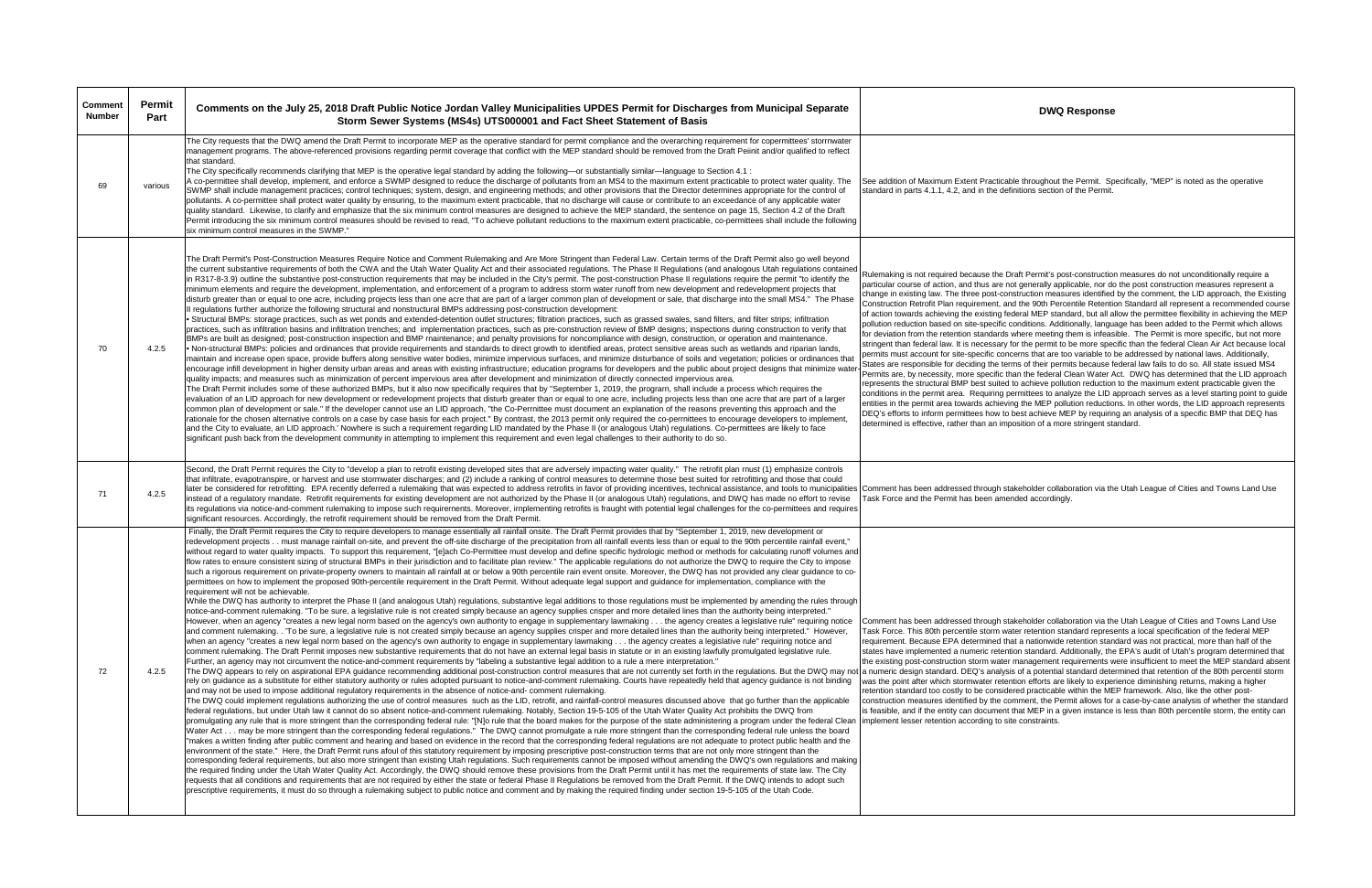| <b>Comment</b><br><b>Number</b> | Permit<br>Part | Comments on the July 25, 2018 Draft Public Notice Jordan Valley Municipalities UPDES Permit for Discharges from Municipal Separate<br>Storm Sewer Systems (MS4s) UTS000001 and Fact Sheet Statement of Basis                                                                                                                                                                                                                                                                                                                                                                                                                                                                                                                                                                                                                                                                                                                                                                                                                                                                                                                                                                                                                                                                                                                                                                                                                                                                                                                                                                                                                                                                                                                                                                                                                                                                                                                                                                                                                                                                                                                                                                                                                                                                                                                                                                                                                                                                                                                                                                                                                                                                                                                                                                                                                                                                                                                                                                                                                                                                                                                                                                                                                                                                                                                                                                                                                                                                                                                                                                                                                                                                                                                                                                                                                                                                                                                                                                                                                                                                                                                                                                                                                                                                                                                                                                                                                                                                                                                                                                                                                                                                                                                                                                                                                                                                                                                                                                                                                   | <b>DWQ Response</b>                                                                                                                                                                                                                                                                                                                                                                                                                                                                                                                                                                                                                                                                                                                                                                                                                                                                                                                                                                                                                                                                                                                                                                                                                                              |
|---------------------------------|----------------|--------------------------------------------------------------------------------------------------------------------------------------------------------------------------------------------------------------------------------------------------------------------------------------------------------------------------------------------------------------------------------------------------------------------------------------------------------------------------------------------------------------------------------------------------------------------------------------------------------------------------------------------------------------------------------------------------------------------------------------------------------------------------------------------------------------------------------------------------------------------------------------------------------------------------------------------------------------------------------------------------------------------------------------------------------------------------------------------------------------------------------------------------------------------------------------------------------------------------------------------------------------------------------------------------------------------------------------------------------------------------------------------------------------------------------------------------------------------------------------------------------------------------------------------------------------------------------------------------------------------------------------------------------------------------------------------------------------------------------------------------------------------------------------------------------------------------------------------------------------------------------------------------------------------------------------------------------------------------------------------------------------------------------------------------------------------------------------------------------------------------------------------------------------------------------------------------------------------------------------------------------------------------------------------------------------------------------------------------------------------------------------------------------------------------------------------------------------------------------------------------------------------------------------------------------------------------------------------------------------------------------------------------------------------------------------------------------------------------------------------------------------------------------------------------------------------------------------------------------------------------------------------------------------------------------------------------------------------------------------------------------------------------------------------------------------------------------------------------------------------------------------------------------------------------------------------------------------------------------------------------------------------------------------------------------------------------------------------------------------------------------------------------------------------------------------------------------------------------------------------------------------------------------------------------------------------------------------------------------------------------------------------------------------------------------------------------------------------------------------------------------------------------------------------------------------------------------------------------------------------------------------------------------------------------------------------------------------------------------------------------------------------------------------------------------------------------------------------------------------------------------------------------------------------------------------------------------------------------------------------------------------------------------------------------------------------------------------------------------------------------------------------------------------------------------------------------------------------------------------------------------------------------------------------------------------------------------------------------------------------------------------------------------------------------------------------------------------------------------------------------------------------------------------------------------------------------------------------------------------------------------------------------------------------------------------------------------------------------------------------------------------------------------|------------------------------------------------------------------------------------------------------------------------------------------------------------------------------------------------------------------------------------------------------------------------------------------------------------------------------------------------------------------------------------------------------------------------------------------------------------------------------------------------------------------------------------------------------------------------------------------------------------------------------------------------------------------------------------------------------------------------------------------------------------------------------------------------------------------------------------------------------------------------------------------------------------------------------------------------------------------------------------------------------------------------------------------------------------------------------------------------------------------------------------------------------------------------------------------------------------------------------------------------------------------|
| 69                              | various        | The City requests that the DWQ amend the Draft Permit to incorporate MEP as the operative standard for permit compliance and the overarching requirement for copermittees' storrnwater<br>management programs. The above-referenced provisions regarding permit coverage that conflict with the MEP standard should be removed from the Draft Peiinit and/or qualified to reflect<br>that standard.<br>The City specifically recommends clarifying that MEP is the operative legal standard by adding the following—or substantially similar—language to Section 4.1 :<br>A co-permittee shall develop, implement, and enforce a SWMP designed to reduce the discharge of pollutants from an MS4 to the maximum extent practicable to protect water quality. The<br>SWMP shall include management practices; control techniques; system, design, and engineering methods; and other provisions that the Director determines appropriate for the control of<br>pollutants. A co-permittee shall protect water quality by ensuring, to the maximum extent practicable, that no discharge will cause or contribute to an exceedance of any applicable water<br>quality standard. Likewise, to clarify and emphasize that the six minimum control measures are designed to achieve the MEP standard, the sentence on page 15, Section 4.2 of the Draft<br>Permit introducing the six minimum control measures should be revised to read, "To achieve pollutant reductions to the maximum extent practicable, co-permittees shall include the following<br>six minimum control measures in the SWMP."                                                                                                                                                                                                                                                                                                                                                                                                                                                                                                                                                                                                                                                                                                                                                                                                                                                                                                                                                                                                                                                                                                                                                                                                                                                                                                                                                                                                                                                                                                                                                                                                                                                                                                                                                                                                                                                                                                                                                                                                                                                                                                                                                                                                                                                                                                                                                                                                                                                                                                                                                                                                                                                                                                                                                                                                                                                                                                                                                                                                                                                                                                                                                                                                                                                                                                                                                                                                                               | See addition of Maximum Extent Practicable throughout the Permit. Sp.<br>standard in parts 4.1.1, 4.2, and in the definitions section of the Permit.                                                                                                                                                                                                                                                                                                                                                                                                                                                                                                                                                                                                                                                                                                                                                                                                                                                                                                                                                                                                                                                                                                             |
| 70                              | 4.2.5          | The Draft Permit's Post-Construction Measures Require Notice and Comment Rulemaking and Are More Stringent than Federal Law. Certain terms of the Draft Permit also go well beyond<br>the current substantive requirements of both the CWA and the Utah Water Quality Act and their associated regulations. The Phase II Regulations (and analogous Utah regulations contained<br>in R317-8-3.9) outline the substantive post-construction requirements that may be included in the City's permit. The post-construction Phase II regulations require the permit "to identify the<br>minimum elements and require the development, implementation, and enforcement of a program to address storm water runoff from new development and redevelopment projects that<br>disturb greater than or equal to one acre, including projects less than one acre that are part of a larger common plan of development or sale, that discharge into the small MS4." The Phase<br>Il regulations further authorize the following structural and nonstructural BMPs addressing post-construction development:<br>• Structural BMPs: storage practices, such as wet ponds and extended-detention outlet structures; filtration practices, such as grassed swales, sand filters, and filter strips; infiltration<br>practices, such as infiltration basins and infiltration trenches; and implementation practices, such as pre-construction review of BMP designs; inspections during construction to verify that<br>BMPs are built as designed; post-construction inspection and BMP maintenance; and penalty provisions for noncompliance with design, construction, or operation and maintenance.<br>• Non-structural BMPs: policies and ordinances that provide requirements and standards to direct growth to identified areas, protect sensitive areas such as wetlands and riparian lands,<br>maintain and increase open space, provide buffers along sensitive water bodies, minimize impervious surfaces, and minimize disturbance of soils and vegetation; policies or ordinances that<br>encourage infill development in higher density urban areas and areas with existing infrastructure; education programs for developers and the public about project designs that minimize wate<br>quality impacts; and measures such as minimization of percent impervious area after development and minimization of directly connected impervious area.<br>The Draft Permit includes some of these authorized BMPs, but it also now specifically requires that by "September 1, 2019, the prograrn, shall include a process which requires the<br>evaluation of an LID approach for new development or redevelopment projects that disturb greater than or equal to one acre, including projects less than one acre that are part of a larger<br>common plan of development or sale." If the developer cannot use an LID approach, "the Co-Perrnittee must document an explanation of the reasons preventing this approach and the<br>rationale for the chosen alternative controls on a case by case basis for each project." By contrast, the 2013 permit only required the co-perrnittees to encourage developers to implement,<br>and the City to evaluate, an LID approach.' Nowhere is such a requirement regarding LID mandated by the Phase II (or analogous Utah) regulations. Co-permittees are likely to face<br>significant push back from the development comrnunity in attempting to irnplement this requirement and even legal challenges to their authority to do so.                                                                                                                                                                                                                                                                                                                                                                                                                                                                                                                                                                                                                                                                                                                                                                                                                                                                                                                                                                                                                                                                                                                                                                                                                                                                                                                                                                                                                                                    | Rulemaking is not required because the Draft Permit's post-construction<br>particular course of action, and thus are not generally applicable, nor do<br>change in existing law. The three post-construction measures identified<br>Construction Retrofit Plan requirement, and the 90th Percentile Retentio<br>of action towards achieving the existing federal MEP standard, but all a<br>pollution reduction based on site-specific conditions. Additionally, langu<br>for deviation from the retention standards where meeting them is infeas<br>stringent than federal law. It is necessary for the permit to be more speed<br>permits must account for site-specific concerns that are too variable to<br>States are responsible for deciding the terms of their permits because f<br>Permits are, by necessity, more specific than the federal Clean Water A<br>represents the structural BMP best suited to achieve pollution reduction<br>conditions in the permit area. Requiring permittees to analyze the LID a<br>entities in the permit area towards achieving the MEP pollution reductio<br>DEQ's efforts to inform permittees how to best achieve MEP by requiring<br>determined is effective, rather than an imposition of a more stringent sta |
| 71                              | 4.2.5          | Second, the Draft Perrnit requires the City to "develop a plan to retrofit existing developed sites that are adversely impacting water quality." The retrofit plan rnust (1) emphasize controls<br>that infiltrate, evapotranspire, or harvest and use stormwater discharges; and (2) include a ranking of control measures to determine those best suited for retrofitting and those that could<br>later be considered for retrofitting. EPA recently deferred a rulemaking that was expected to address retrofits in favor of providing incentives, technical assistance, and tools to municipalities   Comment has been address<br>instead of a regulatory mandate. Retrofit requirements for existing development are not authorized by the Phase II (or analogous Utah) regulations, and DWQ has made no effort to revise<br>its regulations via notice-and-comment rulemaking to impose such requirernents. Moreover, irnplementing retrofits is fraught with potential legal challenges for the co-permittees and requires<br>significant resources. Accordingly, the retrofit requirement should be removed from the Draft Permit.                                                                                                                                                                                                                                                                                                                                                                                                                                                                                                                                                                                                                                                                                                                                                                                                                                                                                                                                                                                                                                                                                                                                                                                                                                                                                                                                                                                                                                                                                                                                                                                                                                                                                                                                                                                                                                                                                                                                                                                                                                                                                                                                                                                                                                                                                                                                                                                                                                                                                                                                                                                                                                                                                                                                                                                                                                                                                                                                                                                                                                                                                                                                                                                                                                                                                                                                                                                                                                                                                                                                                                                                                                                                                                                                                                                                                                                                                     | Task Force and the Permit has been amended accordingly.                                                                                                                                                                                                                                                                                                                                                                                                                                                                                                                                                                                                                                                                                                                                                                                                                                                                                                                                                                                                                                                                                                                                                                                                          |
| 72                              | 4.2.5          | Finally, the Draft Permit requires the City to require developers to manage essentially all rainfall onsite. The Draft Permit provides that by "September 1, 2019, new development or<br>redevelopment projectsmust manage rainfall on-site, and prevent the off-site discharge of the precipitation from all rainfall events less than or equal to the 90th percentile rainfall event,"<br>without regard to water quality impacts. To support this requirement, "[e]ach Co-Permittee must develop and define specific hydrologic method or methods for calculating runoff volumes and<br>flow rates to ensure consistent sizing of structural BMPs in their jurisdiction and to facilitate plan review." The applicable regulations do not authorize the DWQ to require the City to impose<br>such a rigorous requirement on private-property owners to maintain all rainfall at or below a 90th percentile rain event onsite. Moreover, the DWQ has not provided any clear guidance to co-<br>permittees on how to implement the proposed 90th-percentile requirement in the Draft Permit. Without adequate legal support and quidance for implementation, compliance with the<br>requirement will not be achievable.<br>While the DWQ has authority to interpret the Phase II (and analogous Utah) regulations, substantive legal additions to those regulations must be implemented by amending the rules through<br>notice-and-comment rulemaking. "To be sure, a legislative rule is not created simply because an agency supplies crisper and more detailed lines than the authority being interpreted."<br>However, when an agency "creates a new legal norm based on the agency's own authority to engage in supplementary lawmaking the agency creates a legislative rule" requiring notice<br>and comment rulemaking. . To be sure, a legislative rule is not created simply because an agency supplies crisper and more detailed lines than the authority being interpreted." However,<br>when an agency "creates a new legal norm based on the agency's own authority to engage in supplementary lawmaking the agency creates a legislative rule" requiring notice and<br>comment rulemaking. The Draft Permit imposes new substantive requirements that do not have an external legal basis in statute or in an existing lawfully promulgated legislative rule.<br>Further, an agency may not circumvent the notice-and-comment requirements by "labeling a substantive legal addition to a rule a mere interpretation."<br>The DWQ appears to rely on aspirational EPA quidance recommending additional post-construction control measures that are not currently set forth in the regulations. But the DWQ may not a numeric design standard. DEQ's anal<br>rely on guidance as a substitute for either statutory authority or rules adopted pursuant to notice-and-comment rulemaking. Courts have repeatedly held that agency guidance is not binding<br>and may not be used to impose additional regulatory requirements in the absence of notice-and- comment rulemaking.<br>The DWQ could implement regulations authorizing the use of control measures such as the LID, retrofit, and rainfall-control measures discussed above that go further than the applicable<br>federal regulations, but under Utah law it cannot do so absent notice-and-comment rulemaking. Notably, Section 19-5-105 of the Utah Water Quality Act prohibits the DWQ from<br>promulgating any rule that is more stringent than the corresponding federal rule: "[N]o rule that the board makes for the purpose of the state administering a program under the federal Clean<br>Water Act may be more stringent than the corresponding federal regulations." The DWQ cannot promulgate a rule more stringent than the corresponding federal rule unless the board<br>"makes a written finding after public comment and hearing and based on evidence in the record that the corresponding federal regulations are not adequate to protect public health and the<br>environment of the state." Here, the Draft Permit runs afoul of this statutory requirement by imposing prescriptive post-construction terms that are not only more stringent than the<br>corresponding federal requirements, but also more stringent than existing Utah regulations. Such requirements cannot be imposed without amending the DWQ's own regulations and making<br>the required finding under the Utah Water Quality Act. Accordingly, the DWQ should remove these provisions from the Draft Permit until it has met the requirements of state law. The City<br>requests that all conditions and requirements that are not required by either the state or federal Phase II Regulations be removed from the Draft Permit. If the DWQ intends to adopt such<br>prescriptive requirements, it must do so through a rulemaking subject to public notice and comment and by making the required finding under section 19-5-105 of the Utah Code. | Comment has been addressed through stakeholder collaboration via the<br>Task Force. This 80th percentile storm water retention standard represe<br>requirement. Because EPA determined that a nationwide retention stan<br>states have implemented a numeric retention standard. Additionally, the<br>the existing post-construction storm water management requirements w<br>was the point after which stormwater retention efforts are likely to expert<br>retention standard too costly to be considered practicable within the ME<br>construction measures identified by the comment, the Permit allows for<br>is feasible, and if the entity can document that MEP in a given instance<br>implement lesser retention according to site constraints.                                                                                                                                                                                                                                                                                                                                                                                                                                                                                                         |

le throughout the Permit. Specifically, "MEP" is noted as the operative initions section of the Permit.

raft Permit's post-construction measures do not unconditionally require a t generally applicable, nor do the post construction measures represent a struction measures identified by the comment, the LID approach, the Existing d the 90th Percentile Retention Standard all represent a recommended course deral MEP standard, but all allow the permittee flexibility in achieving the MEP onditions. Additionally, language has been added to the Permit which allows where meeting them is infeasible. The Permit is more specific, but not more or the permit to be more specific than the federal Clean Air Act because local perns that are too variable to be addressed by national laws. Additionally, ms of their permits because federal law fails to do so. All state issued MS4 an the federal Clean Water Act. DWQ has determined that the LID approach to achieve pollution reduction to the maximum extent practicable given the rmittees to analyze the LID approach serves as a level starting point to guide ig the MEP pollution reductions. In other words, the LID approach represents best achieve MEP by requiring an analysis of a specific BMP that DEQ has betion of a more stringent standard.

keholder collaboration via the Utah League of Cities and Towns Land Use nded accordingly.

keholder collaboration via the Utah League of Cities and Towns Land Use ter retention standard represents a local specification of the federal MEP t a nationwide retention standard was not practical, more than half of the ion standard. Additionally, the EPA's audit of Utah's program determined that management requirements were insufficient to meet the MEP standard absent s of a potential standard determined that retention of the 80th percentil storm tion efforts are likely to experience diminishing returns, making a higher red practicable within the MEP framework. Also, like the other postmment, the Permit allows for a case-by-case analysis of whether the standard that MEP in a given instance is less than 80th percentile storm, the entity can e constraints.